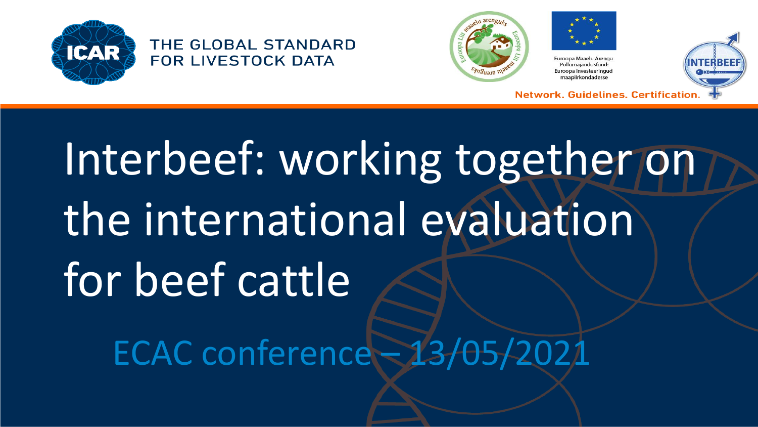









**Network, Guidelines, Certificatio** 

# Interbeef: working together on the international evaluation for beef cattle ECAC conference – 13/05/2021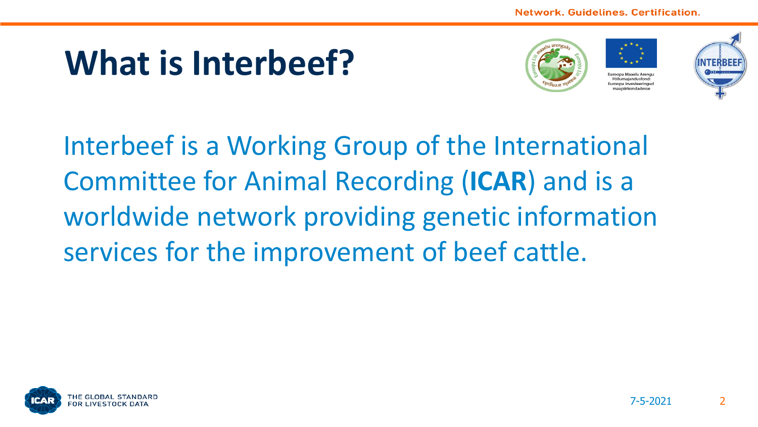#### **What is Interbeef?**





Euroopa Maaelu Arengu Põllumajandusfond: **Europa investeeringud** maapiirkondadess



Interbeef is a Working Group of the International Committee for Animal Recording (**ICAR**) and is a worldwide network providing genetic information services for the improvement of beef cattle.

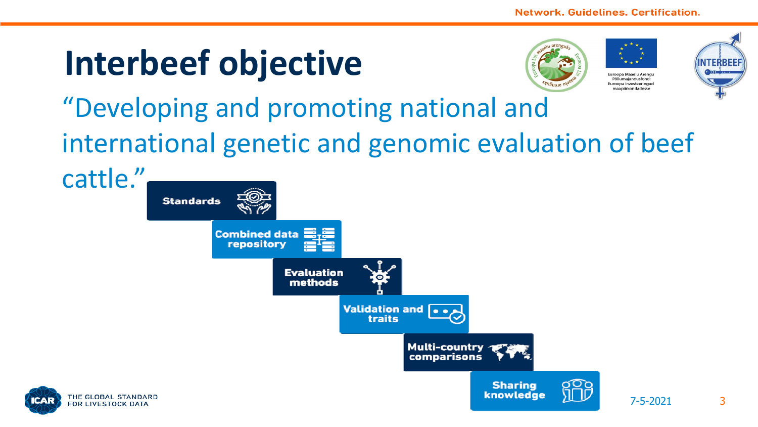#### **Interbeef objective**



Euroopa Maaelu Arengu Põllumajandusfond: Euroopa investeeringud maanlirkondadesse

7-5-2021 3



#### "Developing and promoting national and international genetic and genomic evaluation of beef

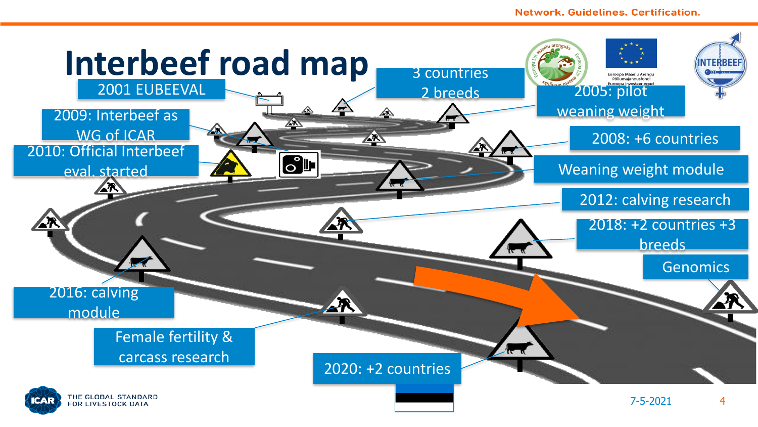#### **Network, Guidelines, Certification.**

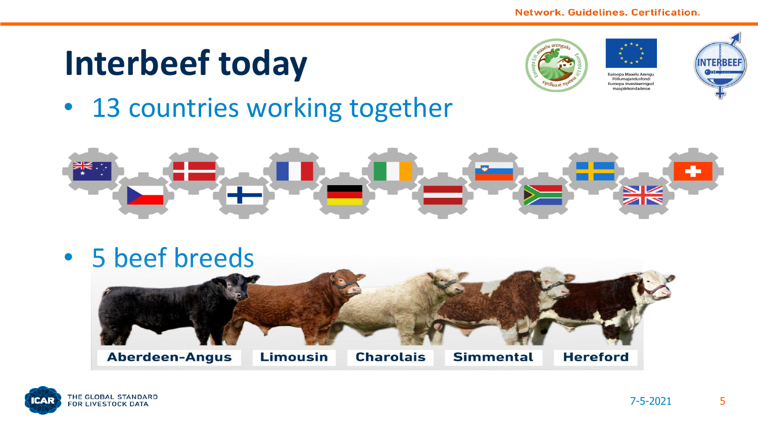#### **Interbeef today**







• 13 countries working together





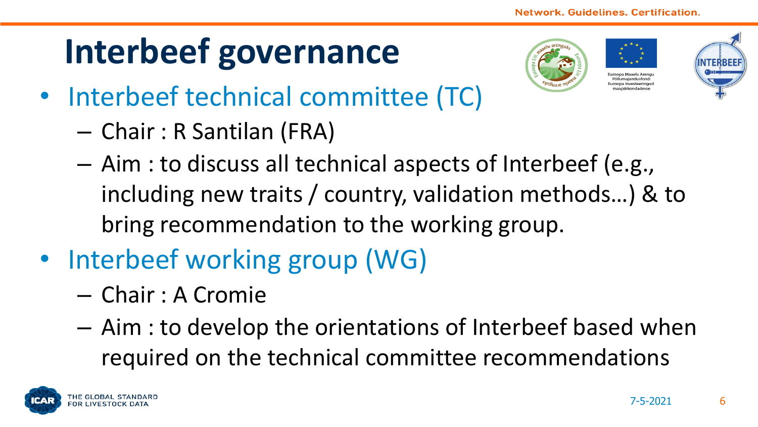#### **Interbeef governance**



Euroopa Maaelu Arengu Pöllumajandusfond uroona investeeringu naanjirkondade



- Interbeef technical committee (TC)
	- Chair : R Santilan (FRA)
	- Aim : to discuss all technical aspects of Interbeef (e.g., including new traits / country, validation methods…) & to bring recommendation to the working group.
- Interbeef working group (WG)
	- Chair : A Cromie
	- Aim : to develop the orientations of Interbeef based when required on the technical committee recommendations

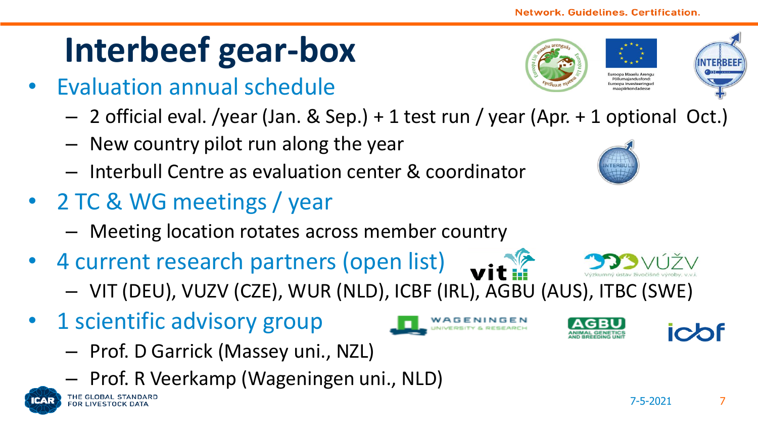#### **Interbeef gear-box**

- Evaluation annual schedule
	- 2 official eval. /year (Jan. & Sep.) + 1 test run / year (Apr. + 1 optional Oct.)
	- New country pilot run along the year
	- Interbull Centre as evaluation center & coordinator
- 2 TC & WG meetings / year
	- Meeting location rotates across member country
- 4 current research partners (open list)
	- VIT (DEU), VUZV (CZE), WUR (NLD), ICBF (IRL), AGBU (AUS), ITBC (SWE)
- 1 scientific advisory group

THE GLOBAL STANDAR **FOR LIVESTOCK DATA** 

- Prof. D Garrick (Massey uni., NZL)
- Prof. R Veerkamp (Wageningen uni., NLD)











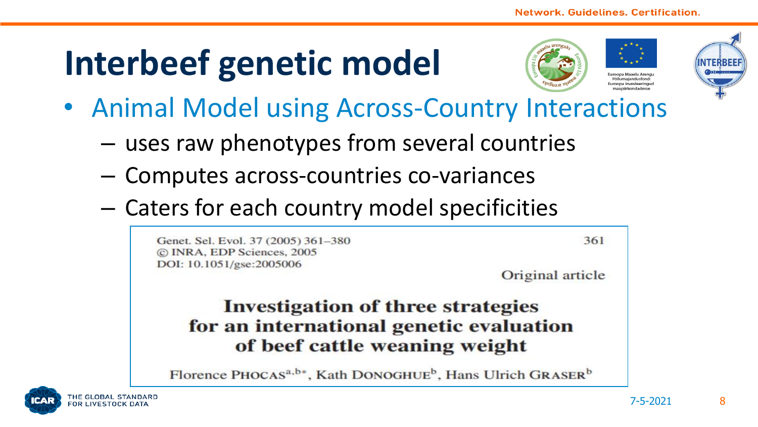#### **Interbeef genetic model**







- Animal Model using Across-Country Interactions
	- uses raw phenotypes from several countries
	- Computes across-countries co-variances
	- Caters for each country model specificities

Genet, Sel. Evol. 37 (2005) 361-380 C INRA, EDP Sciences, 2005 DOI: 10.1051/gse:2005006

361

Original article

#### **Investigation of three strategies** for an international genetic evaluation of beef cattle weaning weight

Florence PHOCAS<sup>a,b\*</sup>, Kath DONOGHUE<sup>b</sup>, Hans Ulrich GRASER<sup>b</sup>

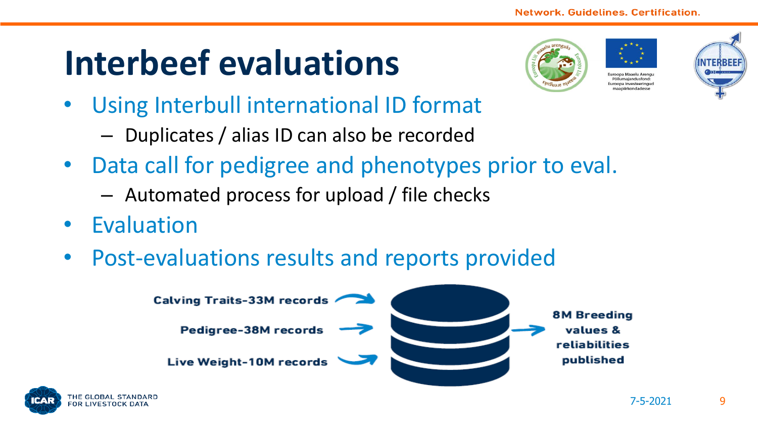#### **Interbeef evaluations**





- Using Interbull international ID format
	- Duplicates / alias ID can also be recorded
- Data call for pedigree and phenotypes prior to eval.
	- Automated process for upload / file checks
- Evaluation
- Post-evaluations results and reports provided



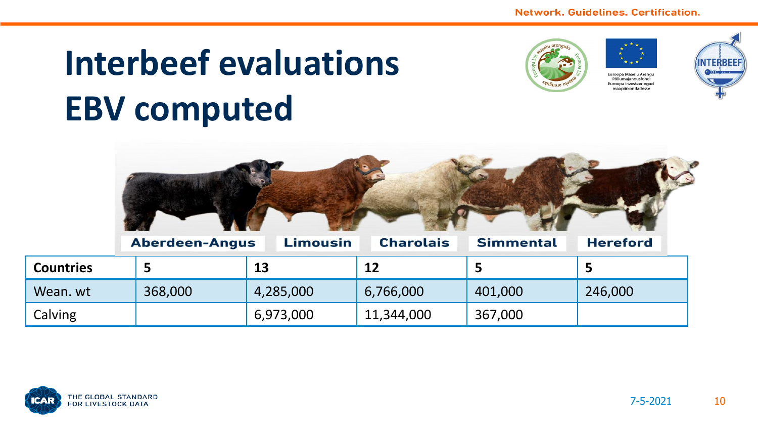### **Interbeef evaluations EBV computed**









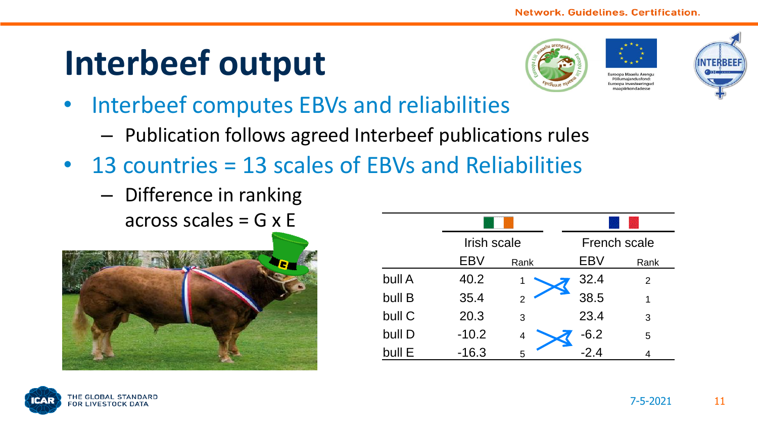#### **Interbeef output**





maanlirkondadesse



- Interbeef computes EBVs and reliabilities
	- Publication follows agreed Interbeef publications rules
- 13 countries = 13 scales of EBVs and Reliabilities
	- Difference in ranking across scales  $=$  G  $\times$  E



|        | Irish scale |      |        | French scale |  |
|--------|-------------|------|--------|--------------|--|
|        | <b>EBV</b>  | Rank | EBV    | Rank         |  |
| bull A | 40.2        | 1    | 32.4   | 2            |  |
| bull B | 35.4        |      | 38.5   | 1            |  |
| bull C | 20.3        | 3    | 23.4   | 3            |  |
| bull D | $-10.2$     | 4    | $-6.2$ | 5            |  |
| bull E | $-16.3$     | 5    | $-2.4$ | 4            |  |

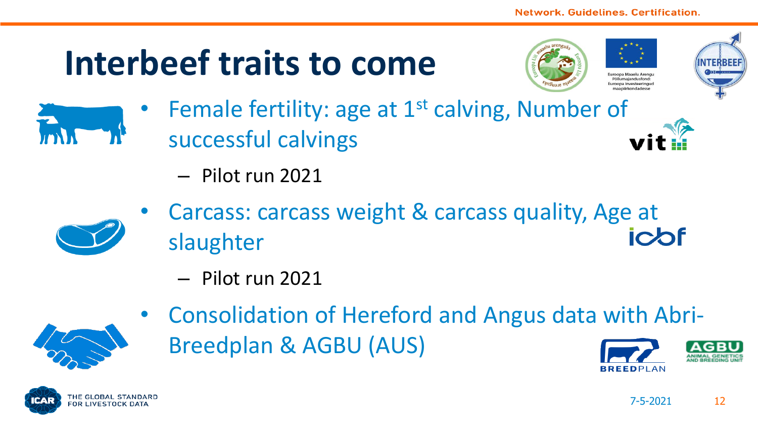#### **Interbeef traits to come**







- Female fertility: age at 1<sup>st</sup> calving, Number of successful calvings
	- Pilot run 2021



- Carcass: carcass weight & carcass quality, Age at slaughter
	- Pilot run 2021



• Consolidation of Hereford and Angus data with Abri-Breedplan & AGBU (AUS)

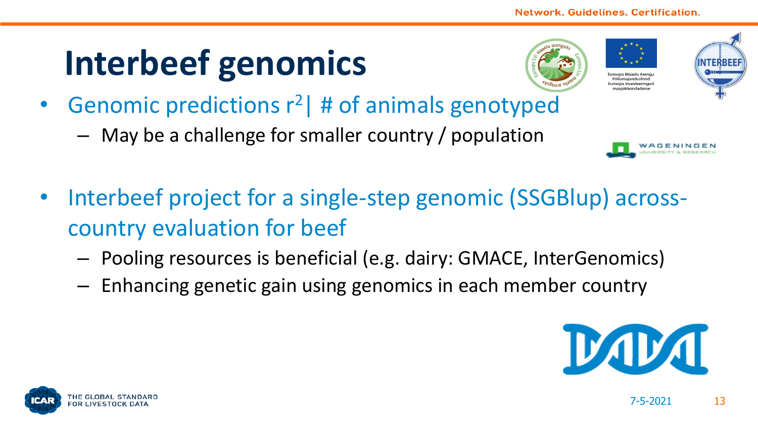### **Interbeef genomics**







- **Genomic predictions**  $r^2$  **# of animals genotyped** 
	- May be a challenge for smaller country / population



- Interbeef project for a single-step genomic (SSGBlup) acrosscountry evaluation for beef
	- Pooling resources is beneficial (e.g. dairy: GMACE, InterGenomics)
	- Enhancing genetic gain using genomics in each member country



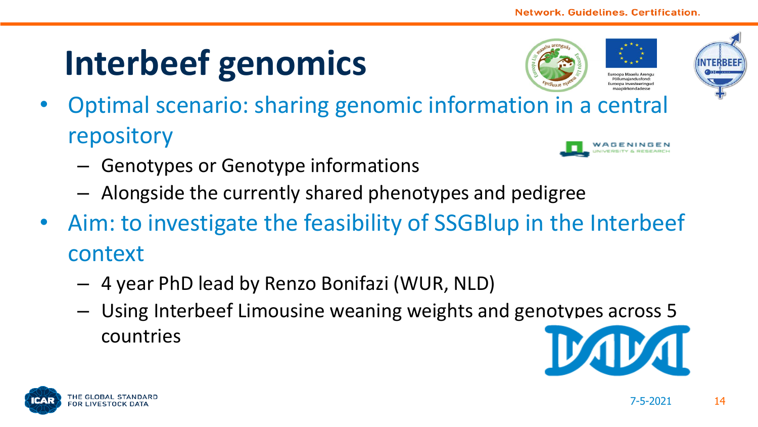## **Interbeef genomics**



Pöllumajandusfond umona investeeringu



- Optimal scenario: sharing genomic information in a central repository
	- Genotypes or Genotype informations
	- Alongside the currently shared phenotypes and pedigree
- Aim: to investigate the feasibility of SSGBlup in the Interbeef context
	- 4 year PhD lead by Renzo Bonifazi (WUR, NLD)
	- Using Interbeef Limousine weaning weights and genotypes across 5 countries



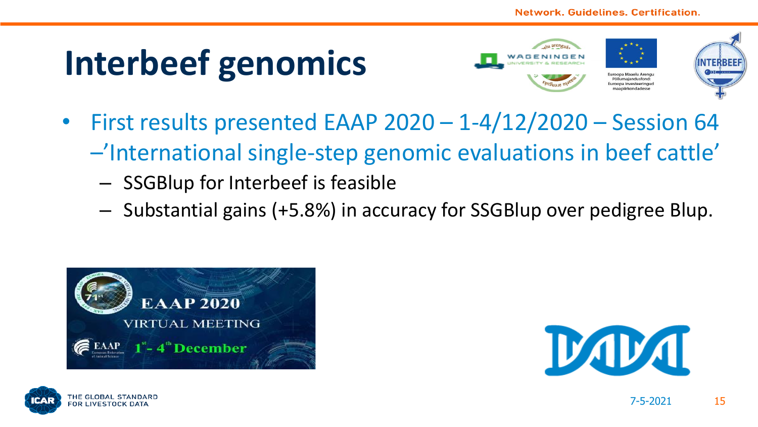#### **Interbeef genomics**







- First results presented EAAP 2020 1-4/12/2020 Session 64 –'International single-step genomic evaluations in beef cattle'
	- SSGBlup for Interbeef is feasible
	- Substantial gains (+5.8%) in accuracy for SSGBlup over pedigree Blup.





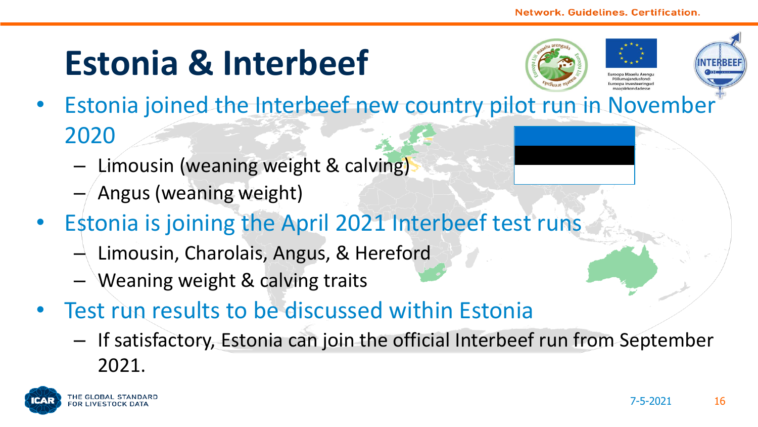#### **Estonia & Interbeef**



allumajandusfono mona investeeringu



- Estonia joined the Interbeef new country pilot run in November 2020
	- Limousin (weaning weight & calving)
	- Angus (weaning weight)
- Estonia is joining the April 2021 Interbeef test runs
	- $-$  Limousin, Charolais, Angus, & Hereford
	- Weaning weight & calving traits
- Test run results to be discussed within Estonia
	- If satisfactory, Estonia can join the official Interbeef run from September 2021.